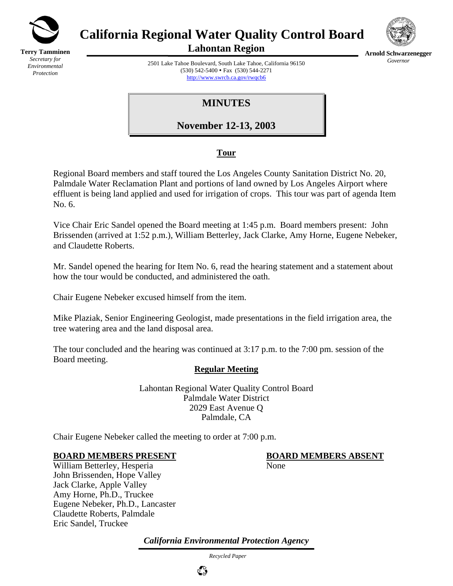

**Terry Tamminen** *Secretary for Environmental Protection*

# **California Regional Water Quality Control Board**



**Lahontan Region** 

**Arnold Schwarzenegger** *Governor* 

2501 Lake Tahoe Boulevard, South Lake Tahoe, California 96150 (530) 542-5400 • Fax (530) 544-2271 http://www.swrcb.ca.gov/rwqcb6

**MINUTES** 

**November 12-13, 2003**

# **Tour**

Regional Board members and staff toured the Los Angeles County Sanitation District No. 20, Palmdale Water Reclamation Plant and portions of land owned by Los Angeles Airport where effluent is being land applied and used for irrigation of crops. This tour was part of agenda Item No. 6.

Vice Chair Eric Sandel opened the Board meeting at 1:45 p.m. Board members present: John Brissenden (arrived at 1:52 p.m.), William Betterley, Jack Clarke, Amy Horne, Eugene Nebeker, and Claudette Roberts.

Mr. Sandel opened the hearing for Item No. 6, read the hearing statement and a statement about how the tour would be conducted, and administered the oath.

Chair Eugene Nebeker excused himself from the item.

Mike Plaziak, Senior Engineering Geologist, made presentations in the field irrigation area, the tree watering area and the land disposal area.

The tour concluded and the hearing was continued at 3:17 p.m. to the 7:00 pm. session of the Board meeting.

## **Regular Meeting**

Lahontan Regional Water Quality Control Board Palmdale Water District 2029 East Avenue Q Palmdale, CA

Chair Eugene Nebeker called the meeting to order at 7:00 p.m.

## **BOARD MEMBERS PRESENT BOARD MEMBERS ABSENT**

William Betterley, Hesperia None John Brissenden, Hope Valley Jack Clarke, Apple Valley Amy Horne, Ph.D., Truckee Eugene Nebeker, Ph.D., Lancaster Claudette Roberts, Palmdale Eric Sandel, Truckee

*California Environmental Protection Agency*

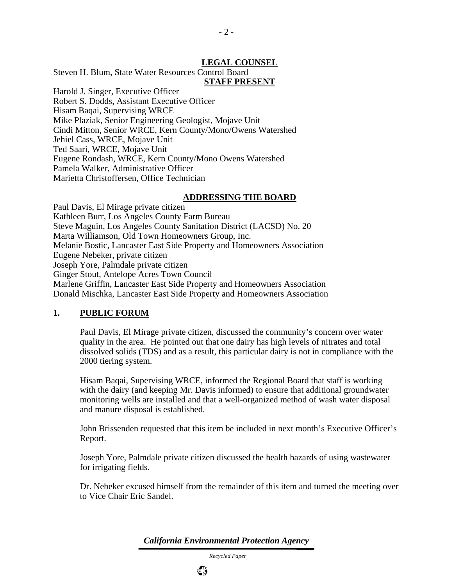#### **LEGAL COUNSEL**

Steven H. Blum, State Water Resources Control Board

## **STAFF PRESENT**

 $-2-$ 

Harold J. Singer, Executive Officer Robert S. Dodds, Assistant Executive Officer Hisam Baqai, Supervising WRCE Mike Plaziak, Senior Engineering Geologist, Mojave Unit Cindi Mitton, Senior WRCE, Kern County/Mono/Owens Watershed Jehiel Cass, WRCE, Mojave Unit Ted Saari, WRCE, Mojave Unit Eugene Rondash, WRCE, Kern County/Mono Owens Watershed Pamela Walker, Administrative Officer Marietta Christoffersen, Office Technician

#### **ADDRESSING THE BOARD**

Paul Davis, El Mirage private citizen Kathleen Burr, Los Angeles County Farm Bureau Steve Maguin, Los Angeles County Sanitation District (LACSD) No. 20 Marta Williamson, Old Town Homeowners Group, Inc. Melanie Bostic, Lancaster East Side Property and Homeowners Association Eugene Nebeker, private citizen Joseph Yore, Palmdale private citizen Ginger Stout, Antelope Acres Town Council Marlene Griffin, Lancaster East Side Property and Homeowners Association Donald Mischka, Lancaster East Side Property and Homeowners Association

#### **1. PUBLIC FORUM**

Paul Davis, El Mirage private citizen, discussed the community's concern over water quality in the area. He pointed out that one dairy has high levels of nitrates and total dissolved solids (TDS) and as a result, this particular dairy is not in compliance with the 2000 tiering system.

Hisam Baqai, Supervising WRCE, informed the Regional Board that staff is working with the dairy (and keeping Mr. Davis informed) to ensure that additional groundwater monitoring wells are installed and that a well-organized method of wash water disposal and manure disposal is established.

John Brissenden requested that this item be included in next month's Executive Officer's Report.

Joseph Yore, Palmdale private citizen discussed the health hazards of using wastewater for irrigating fields.

Dr. Nebeker excused himself from the remainder of this item and turned the meeting over to Vice Chair Eric Sandel.

*California Environmental Protection Agency*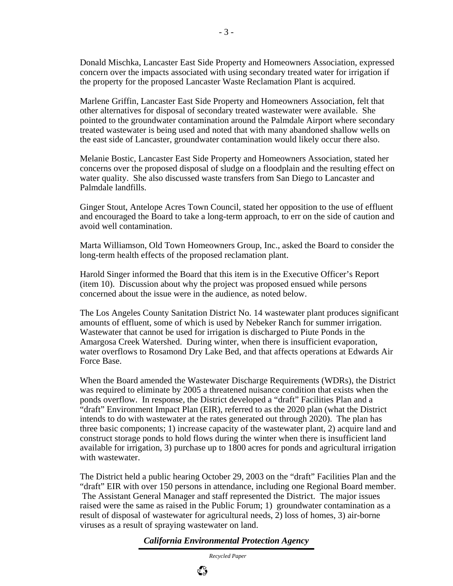Donald Mischka, Lancaster East Side Property and Homeowners Association, expressed concern over the impacts associated with using secondary treated water for irrigation if the property for the proposed Lancaster Waste Reclamation Plant is acquired.

Marlene Griffin, Lancaster East Side Property and Homeowners Association, felt that other alternatives for disposal of secondary treated wastewater were available. She pointed to the groundwater contamination around the Palmdale Airport where secondary treated wastewater is being used and noted that with many abandoned shallow wells on the east side of Lancaster, groundwater contamination would likely occur there also.

Melanie Bostic, Lancaster East Side Property and Homeowners Association, stated her concerns over the proposed disposal of sludge on a floodplain and the resulting effect on water quality. She also discussed waste transfers from San Diego to Lancaster and Palmdale landfills.

Ginger Stout, Antelope Acres Town Council, stated her opposition to the use of effluent and encouraged the Board to take a long-term approach, to err on the side of caution and avoid well contamination.

Marta Williamson, Old Town Homeowners Group, Inc., asked the Board to consider the long-term health effects of the proposed reclamation plant.

Harold Singer informed the Board that this item is in the Executive Officer's Report (item 10). Discussion about why the project was proposed ensued while persons concerned about the issue were in the audience, as noted below.

The Los Angeles County Sanitation District No. 14 wastewater plant produces significant amounts of effluent, some of which is used by Nebeker Ranch for summer irrigation. Wastewater that cannot be used for irrigation is discharged to Piute Ponds in the Amargosa Creek Watershed. During winter, when there is insufficient evaporation, water overflows to Rosamond Dry Lake Bed, and that affects operations at Edwards Air Force Base.

When the Board amended the Wastewater Discharge Requirements (WDRs), the District was required to eliminate by 2005 a threatened nuisance condition that exists when the ponds overflow. In response, the District developed a "draft" Facilities Plan and a "draft" Environment Impact Plan (EIR), referred to as the 2020 plan (what the District intends to do with wastewater at the rates generated out through 2020). The plan has three basic components; 1) increase capacity of the wastewater plant, 2) acquire land and construct storage ponds to hold flows during the winter when there is insufficient land available for irrigation, 3) purchase up to 1800 acres for ponds and agricultural irrigation with wastewater.

The District held a public hearing October 29, 2003 on the "draft" Facilities Plan and the "draft" EIR with over 150 persons in attendance, including one Regional Board member. The Assistant General Manager and staff represented the District. The major issues raised were the same as raised in the Public Forum; 1) groundwater contamination as a result of disposal of wastewater for agricultural needs, 2) loss of homes, 3) air-borne viruses as a result of spraying wastewater on land.

*California Environmental Protection Agency*

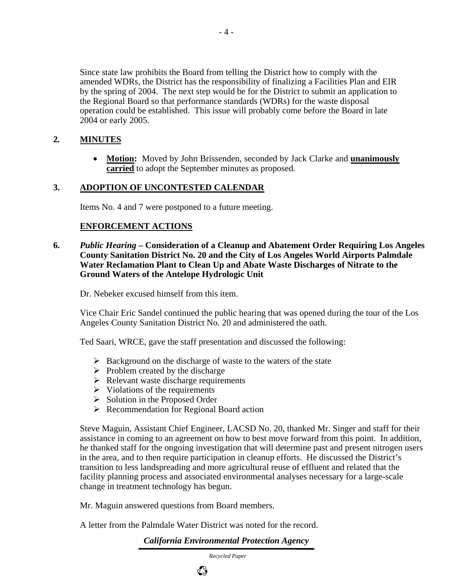Since state law prohibits the Board from telling the District how to comply with the amended WDRs, the District has the responsibility of finalizing a Facilities Plan and EIR by the spring of 2004. The next step would be for the District to submit an application to the Regional Board so that performance standards (WDRs) for the waste disposal operation could be established. This issue will probably come before the Board in late 2004 or early 2005.

## **2. MINUTES**

• **Motion:** Moved by John Brissenden, seconded by Jack Clarke and **unanimously carried** to adopt the September minutes as proposed.

### **3. ADOPTION OF UNCONTESTED CALENDAR**

Items No. 4 and 7 were postponed to a future meeting.

## **ENFORCEMENT ACTIONS**

**6.** *Public Hearing* **– Consideration of a Cleanup and Abatement Order Requiring Los Angeles County Sanitation District No. 20 and the City of Los Angeles World Airports Palmdale Water Reclamation Plant to Clean Up and Abate Waste Discharges of Nitrate to the Ground Waters of the Antelope Hydrologic Unit** 

Dr. Nebeker excused himself from this item.

Vice Chair Eric Sandel continued the public hearing that was opened during the tour of the Los Angeles County Sanitation District No. 20 and administered the oath.

Ted Saari, WRCE, gave the staff presentation and discussed the following:

- $\triangleright$  Background on the discharge of waste to the waters of the state
- $\triangleright$  Problem created by the discharge
- $\triangleright$  Relevant waste discharge requirements
- $\triangleright$  Violations of the requirements
- $\triangleright$  Solution in the Proposed Order
- $\triangleright$  Recommendation for Regional Board action

Steve Maguin, Assistant Chief Engineer, LACSD No. 20, thanked Mr. Singer and staff for their assistance in coming to an agreement on how to best move forward from this point. In addition, he thanked staff for the ongoing investigation that will determine past and present nitrogen users in the area, and to then require participation in cleanup efforts. He discussed the District's transition to less landspreading and more agricultural reuse of effluent and related that the facility planning process and associated environmental analyses necessary for a large-scale change in treatment technology has begun.

Mr. Maguin answered questions from Board members.

A letter from the Palmdale Water District was noted for the record.

*California Environmental Protection Agency*

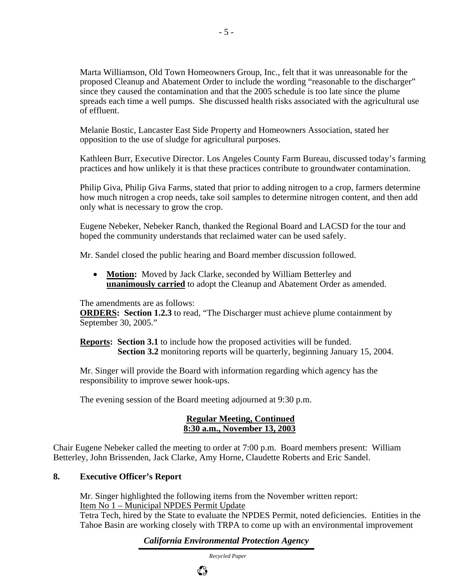Marta Williamson, Old Town Homeowners Group, Inc., felt that it was unreasonable for the proposed Cleanup and Abatement Order to include the wording "reasonable to the discharger" since they caused the contamination and that the 2005 schedule is too late since the plume spreads each time a well pumps. She discussed health risks associated with the agricultural use of effluent.

Melanie Bostic, Lancaster East Side Property and Homeowners Association, stated her opposition to the use of sludge for agricultural purposes.

- 5 -

Kathleen Burr, Executive Director. Los Angeles County Farm Bureau, discussed today's farming practices and how unlikely it is that these practices contribute to groundwater contamination.

Philip Giva, Philip Giva Farms, stated that prior to adding nitrogen to a crop, farmers determine how much nitrogen a crop needs, take soil samples to determine nitrogen content, and then add only what is necessary to grow the crop.

Eugene Nebeker, Nebeker Ranch, thanked the Regional Board and LACSD for the tour and hoped the community understands that reclaimed water can be used safely.

Mr. Sandel closed the public hearing and Board member discussion followed.

• **Motion:** Moved by Jack Clarke, seconded by William Betterley and **unanimously carried** to adopt the Cleanup and Abatement Order as amended.

The amendments are as follows:

**ORDERS:** Section 1.2.3 to read, "The Discharger must achieve plume containment by September 30, 2005."

**Reports: Section 3.1** to include how the proposed activities will be funded. **Section 3.2** monitoring reports will be quarterly, beginning January 15, 2004.

Mr. Singer will provide the Board with information regarding which agency has the responsibility to improve sewer hook-ups.

The evening session of the Board meeting adjourned at 9:30 p.m.

#### **Regular Meeting, Continued 8:30 a.m., November 13, 2003**

Chair Eugene Nebeker called the meeting to order at 7:00 p.m. Board members present: William Betterley, John Brissenden, Jack Clarke, Amy Horne, Claudette Roberts and Eric Sandel.

## **8. Executive Officer's Report**

Mr. Singer highlighted the following items from the November written report: Item No 1 – Municipal NPDES Permit Update

Tetra Tech, hired by the State to evaluate the NPDES Permit, noted deficiencies. Entities in the Tahoe Basin are working closely with TRPA to come up with an environmental improvement

*California Environmental Protection Agency*

*Recycled Paper*

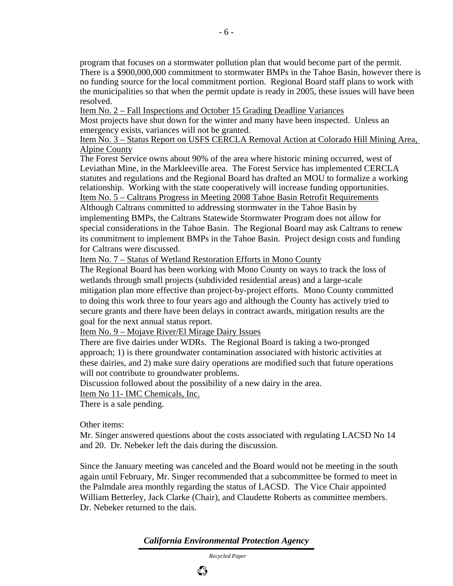program that focuses on a stormwater pollution plan that would become part of the permit. There is a \$900,000,000 commitment to stormwater BMPs in the Tahoe Basin, however there is no funding source for the local commitment portion. Regional Board staff plans to work with the municipalities so that when the permit update is ready in 2005, these issues will have been resolved.

Item No. 2 – Fall Inspections and October 15 Grading Deadline Variances

Most projects have shut down for the winter and many have been inspected. Unless an emergency exists, variances will not be granted.

Item No. 3 – Status Report on USFS CERCLA Removal Action at Colorado Hill Mining Area, Alpine County

The Forest Service owns about 90% of the area where historic mining occurred, west of Leviathan Mine, in the Markleeville area. The Forest Service has implemented CERCLA statutes and regulations and the Regional Board has drafted an MOU to formalize a working relationship. Working with the state cooperatively will increase funding opportunities. Item No. 5 – Caltrans Progress in Meeting 2008 Tahoe Basin Retrofit Requirements

Although Caltrans committed to addressing stormwater in the Tahoe Basin by implementing BMPs, the Caltrans Statewide Stormwater Program does not allow for special considerations in the Tahoe Basin. The Regional Board may ask Caltrans to renew its commitment to implement BMPs in the Tahoe Basin. Project design costs and funding for Caltrans were discussed.

Item No. 7 – Status of Wetland Restoration Efforts in Mono County

The Regional Board has been working with Mono County on ways to track the loss of wetlands through small projects (subdivided residential areas) and a large-scale mitigation plan more effective than project-by-project efforts. Mono County committed to doing this work three to four years ago and although the County has actively tried to secure grants and there have been delays in contract awards, mitigation results are the goal for the next annual status report.

Item No. 9 – Mojave River/El Mirage Dairy Issues

There are five dairies under WDRs. The Regional Board is taking a two-pronged approach; 1) is there groundwater contamination associated with historic activities at these dairies, and 2) make sure dairy operations are modified such that future operations will not contribute to groundwater problems.

Discussion followed about the possibility of a new dairy in the area.

Item No 11- IMC Chemicals, Inc.

There is a sale pending.

Other items:

Mr. Singer answered questions about the costs associated with regulating LACSD No 14 and 20. Dr. Nebeker left the dais during the discussion.

Since the January meeting was canceled and the Board would not be meeting in the south again until February, Mr. Singer recommended that a subcommittee be formed to meet in the Palmdale area monthly regarding the status of LACSD. The Vice Chair appointed William Betterley, Jack Clarke (Chair), and Claudette Roberts as committee members. Dr. Nebeker returned to the dais.

*California Environmental Protection Agency*